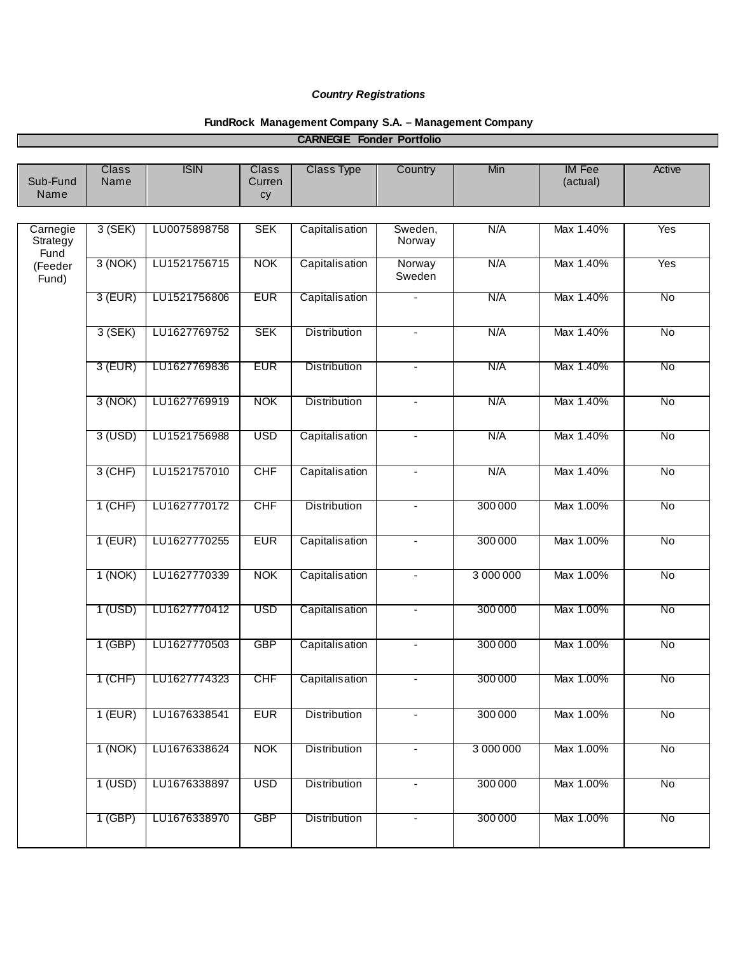## *Country Registrations*

## **FundRock Management Company S.A. – Management Company**

| Sub-Fund<br>Name                                 | <b>Class</b><br>Name | <b>ISIN</b>  | <b>Class</b><br>Curren<br>cy | <b>Class Type</b>   | Country           | Min       | <b>IM Fee</b><br>(actual) | Active         |
|--------------------------------------------------|----------------------|--------------|------------------------------|---------------------|-------------------|-----------|---------------------------|----------------|
|                                                  |                      |              |                              |                     |                   |           |                           |                |
| Carnegie<br>Strategy<br>Fund<br>(Feeder<br>Fund) | $3$ (SEK)            | LU0075898758 | <b>SEK</b>                   | Capitalisation      | Sweden,<br>Norway | N/A       | Max 1.40%                 | Yes            |
|                                                  | 3(NOK)               | LU1521756715 | <b>NOK</b>                   | Capitalisation      | Norway<br>Sweden  | N/A       | Max 1.40%                 | Yes            |
|                                                  | $3$ (EUR)            | LU1521756806 | <b>EUR</b>                   | Capitalisation      | $\blacksquare$    | N/A       | Max 1.40%                 | No             |
|                                                  | $3$ (SEK)            | LU1627769752 | <b>SEK</b>                   | <b>Distribution</b> | $\blacksquare$    | N/A       | Max 1.40%                 | No             |
|                                                  | $3$ (EUR)            | LU1627769836 | <b>EUR</b>                   | <b>Distribution</b> | $\blacksquare$    | N/A       | Max 1.40%                 | No             |
|                                                  | 3(NOK)               | LU1627769919 | <b>NOK</b>                   | <b>Distribution</b> | $\blacksquare$    | N/A       | Max 1.40%                 | $\overline{N}$ |
|                                                  | $3$ (USD)            | LU1521756988 | <b>USD</b>                   | Capitalisation      | $\blacksquare$    | N/A       | Max 1.40%                 | No             |
|                                                  | $3$ (CHF)            | LU1521757010 | <b>CHF</b>                   | Capitalisation      | $\blacksquare$    | N/A       | Max 1.40%                 | $\overline{N}$ |
|                                                  | $1$ (CHF)            | LU1627770172 | <b>CHF</b>                   | <b>Distribution</b> | $\blacksquare$    | 300 000   | Max 1.00%                 | No             |
|                                                  | $1$ (EUR)            | LU1627770255 | <b>EUR</b>                   | Capitalisation      | $\blacksquare$    | 300000    | Max 1.00%                 | No             |
|                                                  | 1(NOK)               | LU1627770339 | <b>NOK</b>                   | Capitalisation      | $\blacksquare$    | 3 000 000 | Max 1.00%                 | No             |
|                                                  | 1 (USD)              | LU1627770412 | <b>USD</b>                   | Capitalisation      | $\blacksquare$    | 300000    | Max 1.00%                 | No             |
|                                                  | $1$ (GBP)            | LU1627770503 | <b>GBP</b>                   | Capitalisation      | $\blacksquare$    | 300000    | Max 1.00%                 | No             |
|                                                  | $1$ (CHF)            | LU1627774323 | <b>CHF</b>                   | Capitalisation      | $\blacksquare$    | 300000    | Max 1.00%                 | No             |
|                                                  | $1$ (EUR)            | LU1676338541 | <b>EUR</b>                   | <b>Distribution</b> | $\blacksquare$    | 300000    | Max 1.00%                 | No             |
|                                                  | 1 (NOK)              | LU1676338624 | <b>NOK</b>                   | <b>Distribution</b> | $\blacksquare$    | 3 000 000 | Max 1.00%                 | No             |
|                                                  | $1$ (USD)            | LU1676338897 | <b>USD</b>                   | <b>Distribution</b> | $\blacksquare$    | 300000    | Max 1.00%                 | $\overline{N}$ |
|                                                  | $1$ (GBP)            | LU1676338970 | <b>GBP</b>                   | <b>Distribution</b> | $\blacksquare$    | 300000    | Max 1.00%                 | No             |
|                                                  |                      |              |                              |                     |                   |           |                           |                |

## **CARNEGIE Fonder Portfolio**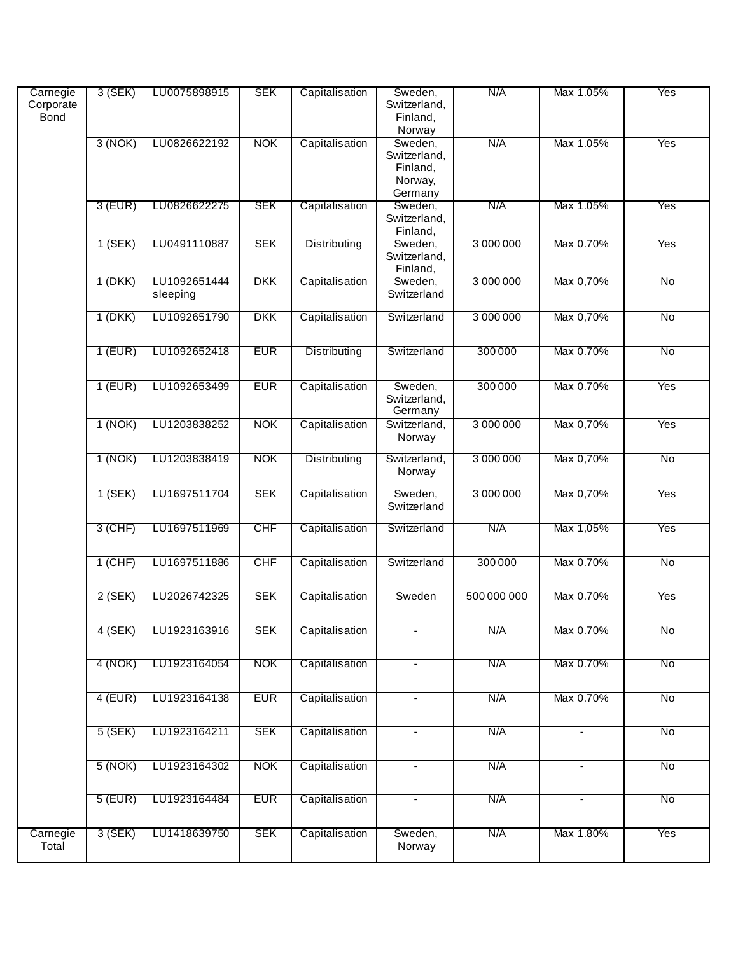| Carnegie<br>Corporate<br>Bond | $3$ (SEK) | LU0075898915             | <b>SEK</b> | Capitalisation      | Sweden,<br>Switzerland,<br>Finland,<br>Norway             | N/A         | Max 1.05%      | Yes            |
|-------------------------------|-----------|--------------------------|------------|---------------------|-----------------------------------------------------------|-------------|----------------|----------------|
|                               | 3(NOK)    | LU0826622192             | <b>NOK</b> | Capitalisation      | Sweden,<br>Switzerland,<br>Finland,<br>Norway,<br>Germany | N/A         | Max 1.05%      | Yes            |
|                               | $3$ (EUR) | LU0826622275             | <b>SEK</b> | Capitalisation      | Sweden,<br>Switzerland,<br>Finland,                       | N/A         | Max 1.05%      | Yes            |
|                               | 1 (SEK)   | LU0491110887             | <b>SEK</b> | Distributing        | Sweden,<br>Switzerland,<br>Finland,                       | 3 000 000   | Max 0.70%      | Yes            |
|                               | 1 (DKK)   | LU1092651444<br>sleeping | DKK        | Capitalisation      | Sweden,<br>Switzerland                                    | 3 000 000   | Max 0,70%      | No             |
|                               | $1$ (DKK) | LU1092651790             | <b>DKK</b> | Capitalisation      | Switzerland                                               | 3 000 000   | Max 0,70%      | <b>No</b>      |
|                               | $1$ (EUR) | LU1092652418             | <b>EUR</b> | <b>Distributing</b> | Switzerland                                               | 300000      | Max 0.70%      | No             |
|                               | $1$ (EUR) | LU1092653499             | <b>EUR</b> | Capitalisation      | Sweden,<br>Switzerland,<br>Germany                        | 300 000     | Max 0.70%      | Yes            |
|                               | 1(NOK)    | LU1203838252             | <b>NOK</b> | Capitalisation      | Switzerland,<br>Norway                                    | 3 000 000   | Max 0,70%      | Yes            |
|                               | 1 (NOK)   | LU1203838419             | <b>NOK</b> | Distributing        | Switzerland,<br>Norway                                    | 3 000 000   | Max 0,70%      | No             |
|                               | $1$ (SEK) | LU1697511704             | <b>SEK</b> | Capitalisation      | Sweden,<br>Switzerland                                    | 3 000 000   | Max 0,70%      | Yes            |
|                               | $3$ (CHF) | LU1697511969             | <b>CHF</b> | Capitalisation      | Switzerland                                               | N/A         | Max 1,05%      | Yes            |
|                               | $1$ (CHF) | LU1697511886             | <b>CHF</b> | Capitalisation      | Switzerland                                               | 300000      | Max 0.70%      | No             |
|                               | 2 (SEK)   | LU2026742325             | <b>SEK</b> | Capitalisation      | Sweden                                                    | 500 000 000 | Max 0.70%      | Yes            |
|                               | $4$ (SEK) | LU1923163916             | <b>SEK</b> | Capitalisation      | $\overline{\phantom{a}}$                                  | N/A         | Max 0.70%      | $\overline{N}$ |
|                               | 4 (NOK)   | LU1923164054             | <b>NOK</b> | Capitalisation      | $\overline{\phantom{a}}$                                  | N/A         | Max 0.70%      | No             |
|                               | $4$ (EUR) | LU1923164138             | <b>EUR</b> | Capitalisation      | $\blacksquare$                                            | N/A         | Max 0.70%      | <b>No</b>      |
|                               | 5 (SEK)   | LU1923164211             | <b>SEK</b> | Capitalisation      | $\blacksquare$                                            | N/A         | $\blacksquare$ | No             |
|                               | 5(NOK)    | LU1923164302             | <b>NOK</b> | Capitalisation      | $\blacksquare$                                            | N/A         |                | No             |
|                               | $5$ (EUR) | LU1923164484             | <b>EUR</b> | Capitalisation      | $\overline{\phantom{a}}$                                  | N/A         |                | No             |
| Carnegie<br>Total             | 3(SEK)    | LU1418639750             | <b>SEK</b> | Capitalisation      | Sweden,<br>Norway                                         | N/A         | Max 1.80%      | Yes            |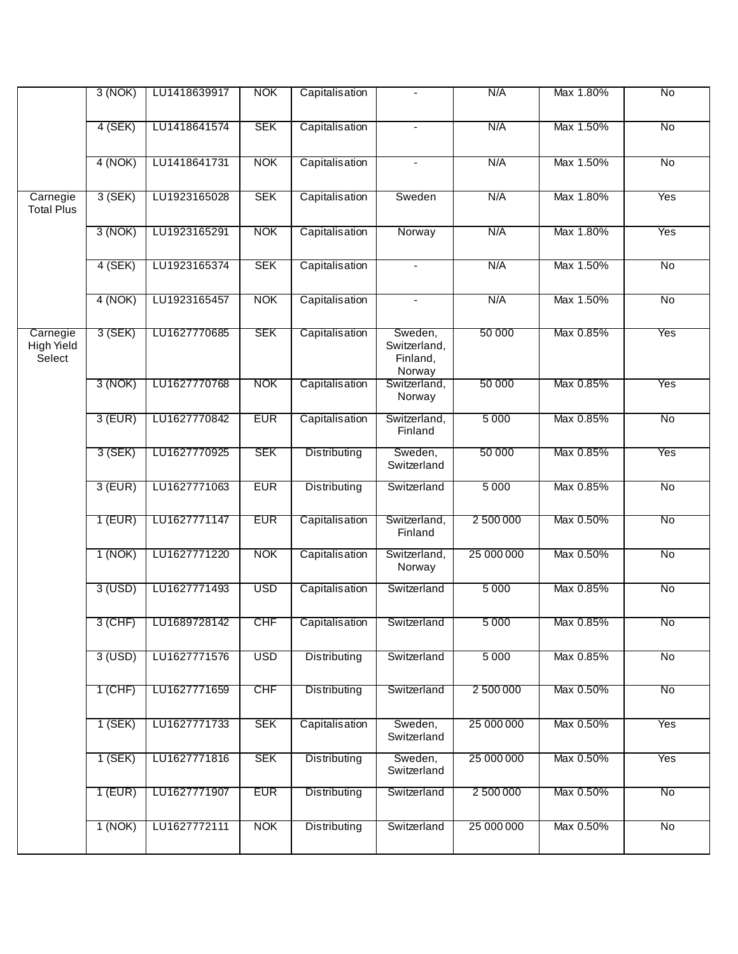|                                  | 3(NOK)    | LU1418639917 | <b>NOK</b> | Capitalisation      |                                               | N/A        | Max 1.80% | $\overline{N}$ |
|----------------------------------|-----------|--------------|------------|---------------------|-----------------------------------------------|------------|-----------|----------------|
|                                  | $4$ (SEK) | LU1418641574 | <b>SEK</b> | Capitalisation      |                                               | N/A        | Max 1.50% | $\overline{N}$ |
|                                  | 4(NOK)    | LU1418641731 | <b>NOK</b> | Capitalisation      | $\blacksquare$                                | N/A        | Max 1.50% | No             |
| Carnegie<br><b>Total Plus</b>    | $3$ (SEK) | LU1923165028 | <b>SEK</b> | Capitalisation      | Sweden                                        | N/A        | Max 1.80% | Yes            |
|                                  | 3(NOK)    | LU1923165291 | <b>NOK</b> | Capitalisation      | Norway                                        | N/A        | Max 1.80% | Yes            |
|                                  | $4$ (SEK) | LU1923165374 | <b>SEK</b> | Capitalisation      |                                               | N/A        | Max 1.50% | No             |
|                                  | 4 (NOK)   | LU1923165457 | <b>NOK</b> | Capitalisation      | $\blacksquare$                                | N/A        | Max 1.50% | No             |
| Carnegie<br>High Yield<br>Select | 3 (SEK)   | LU1627770685 | <b>SEK</b> | Capitalisation      | Sweden,<br>Switzerland,<br>Finland,<br>Norway | 50 000     | Max 0.85% | Yes            |
|                                  | 3 (NOK)   | LU1627770768 | <b>NOK</b> | Capitalisation      | Switzerland,<br>Norway                        | 50 000     | Max 0.85% | Yes            |
|                                  | $3$ (EUR) | LU1627770842 | <b>EUR</b> | Capitalisation      | Switzerland,<br>Finland                       | 5000       | Max 0.85% | No             |
|                                  | 3 (SEK)   | LU1627770925 | <b>SEK</b> | <b>Distributing</b> | Sweden,<br>Switzerland                        | 50 000     | Max 0.85% | Yes            |
|                                  | $3$ (EUR) | LU1627771063 | <b>EUR</b> | Distributing        | Switzerland                                   | 5 0 0 0    | Max 0.85% | No             |
|                                  | $1$ (EUR) | LU1627771147 | <b>EUR</b> | Capitalisation      | Switzerland,<br>Finland                       | 2 500 000  | Max 0.50% | No             |
|                                  | 1(NOK)    | LU1627771220 | <b>NOK</b> | Capitalisation      | Switzerland,<br>Norway                        | 25 000 000 | Max 0.50% | No             |
|                                  | $3$ (USD) | LU1627771493 | <b>USD</b> | Capitalisation      | Switzerland                                   | 5 0 0 0    | Max 0.85% | No             |
|                                  | 3 (CHF)   | LU1689728142 | <b>CHF</b> | Capitalisation      | Switzerland                                   | 5 0 0 0    | Max 0.85% | No             |
|                                  | $3$ (USD) | LU1627771576 | <b>USD</b> | Distributing        | Switzerland                                   | 5 0 0 0    | Max 0.85% | No             |
|                                  | $1$ (CHF) | LU1627771659 | <b>CHF</b> | Distributing        | Switzerland                                   | 2 500 000  | Max 0.50% | No             |
|                                  | $1$ (SEK) | LU1627771733 | <b>SEK</b> | Capitalisation      | Sweden,<br>Switzerland                        | 25 000 000 | Max 0.50% | Yes            |
|                                  | $1$ (SEK) | LU1627771816 | <b>SEK</b> | Distributing        | Sweden,<br>Switzerland                        | 25 000 000 | Max 0.50% | Yes            |
|                                  | $1$ (EUR) | LU1627771907 | <b>EUR</b> | Distributing        | Switzerland                                   | 2 500 000  | Max 0.50% | No             |
|                                  | 1(NOK)    | LU1627772111 | <b>NOK</b> | <b>Distributing</b> | Switzerland                                   | 25 000 000 | Max 0.50% | No             |